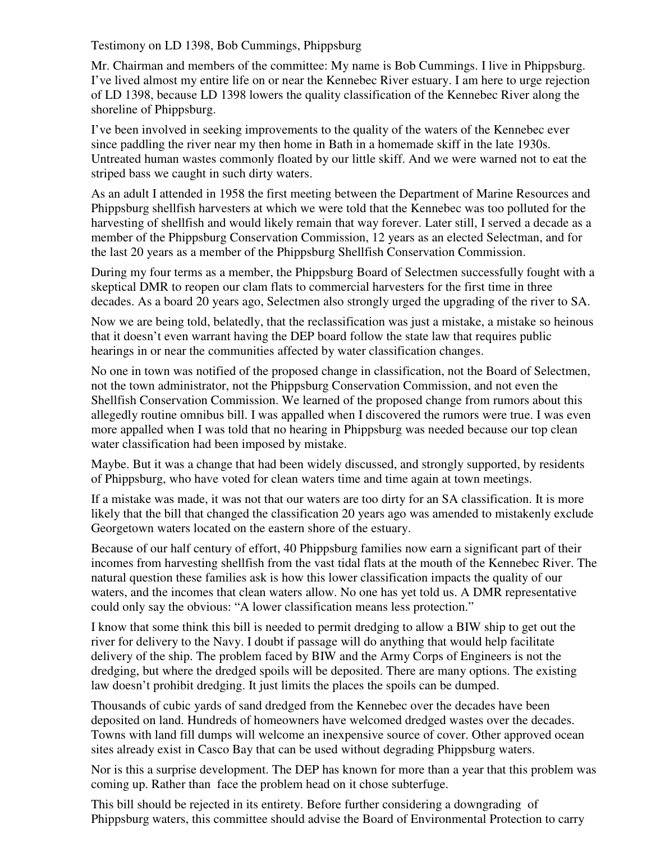Testimony on LD 1398, Bob Cummings, Phippsburg

Mr. Chairman and members of the committee: My name is Bob Cummings. I live in Phippsburg. I've lived almost my entire life on or near the Kennebec River estuary. I am here to urge rejection of LD 1398, because LD 1398 lowers the quality classification of the Kennebec River along the shoreline of Phippsburg.

I've been involved in seeking improvements to the quality of the waters of the Kennebec ever since paddling the river near my then home in Bath in a homemade skiff in the late 1930s. Untreated human wastes commonly floated by our little skiff. And we were warned not to eat the striped bass we caught in such dirty waters.

As an adult I attended in 1958 the first meeting between the Department of Marine Resources and Phippsburg shellfish harvesters at which we were told that the Kennebec was too polluted for the harvesting of shellfish and would likely remain that way forever. Later still, I served a decade as a member of the Phippsburg Conservation Commission, 12 years as an elected Selectman, and for the last 20 years as a member of the Phippsburg Shellfish Conservation Commission.

During my four terms as a member, the Phippsburg Board of Selectmen successfully fought with a skeptical DMR to reopen our clam flats to commercial harvesters for the first time in three decades. As a board 20 years ago, Selectmen also strongly urged the upgrading of the river to SA.

Now we are being told, belatedly, that the reclassification was just a mistake, a mistake so heinous that it doesn't even warrant having the DEP board follow the state law that requires public hearings in or near the communities affected by water classification changes.

No one in town was notified of the proposed change in classification, not the Board of Selectmen, not the town administrator, not the Phippsburg Conservation Commission, and not even the Shellfish Conservation Commission. We learned of the proposed change from rumors about this allegedly routine omnibus bill. I was appalled when I discovered the rumors were true. I was even more appalled when I was told that no hearing in Phippsburg was needed because our top clean water classification had been imposed by mistake.

Maybe. But it was a change that had been widely discussed, and strongly supported, by residents of Phippsburg, who have voted for clean waters time and time again at town meetings.

If a mistake was made, it was not that our waters are too dirty for an SA classification. It is more likely that the bill that changed the classification 20 years ago was amended to mistakenly exclude Georgetown waters located on the eastern shore of the estuary.

Because of our half century of effort, 40 Phippsburg families now earn a significant part of their incomes from harvesting shellfish from the vast tidal flats at the mouth of the Kennebec River. The natural question these families ask is how this lower classification impacts the quality of our waters, and the incomes that clean waters allow. No one has yet told us. A DMR representative could only say the obvious: "A lower classification means less protection."

I know that some think this bill is needed to permit dredging to allow a BIW ship to get out the river for delivery to the Navy. I doubt if passage will do anything that would help facilitate delivery of the ship. The problem faced by BIW and the Army Corps of Engineers is not the dredging, but where the dredged spoils will be deposited. There are many options. The existing law doesn't prohibit dredging. It just limits the places the spoils can be dumped.

Thousands of cubic yards of sand dredged from the Kennebec over the decades have been deposited on land. Hundreds of homeowners have welcomed dredged wastes over the decades. Towns with land fill dumps will welcome an inexpensive source of cover. Other approved ocean sites already exist in Casco Bay that can be used without degrading Phippsburg waters.

Nor is this a surprise development. The DEP has known for more than a year that this problem was coming up. Rather than face the problem head on it chose subterfuge.

This bill should be rejected in its entirety. Before further considering a downgrading of Phippsburg waters, this committee should advise the Board of Environmental Protection to carry